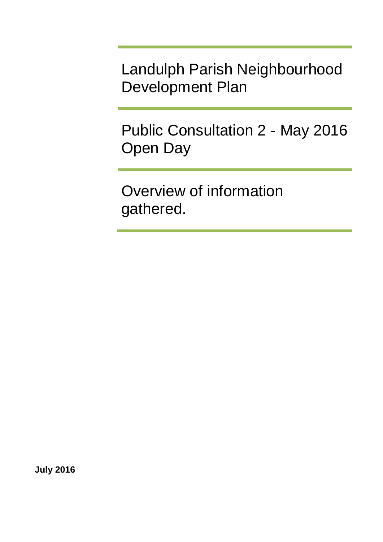Landulph Parish Neighbourhood Development Plan

Public Consultation 2 - May 2016 Open Day

Overview of information gathered.

**July 2016**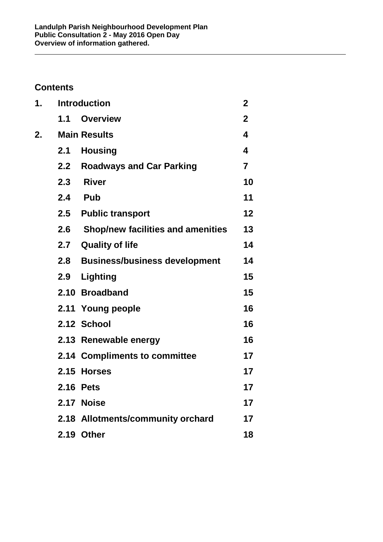# **Contents**

| 1. |     | <b>Introduction</b>                      | $\mathbf 2$             |
|----|-----|------------------------------------------|-------------------------|
|    | 1.1 | <b>Overview</b>                          | $\overline{2}$          |
| 2. |     | <b>Main Results</b>                      | $\overline{\mathbf{4}}$ |
|    |     | 2.1 Housing                              | $\overline{\mathbf{4}}$ |
|    | 2.2 | <b>Roadways and Car Parking</b>          | 7                       |
|    | 2.3 | <b>River</b>                             | 10                      |
|    | 2.4 | <b>Pub</b>                               | 11                      |
|    |     | 2.5 Public transport                     | 12                      |
|    | 2.6 | <b>Shop/new facilities and amenities</b> | 13                      |
|    | 2.7 | <b>Quality of life</b>                   | 14                      |
|    | 2.8 | <b>Business/business development</b>     | 14                      |
|    | 2.9 | <b>Lighting</b>                          | 15                      |
|    |     | 2.10 Broadband                           | 15                      |
|    |     | 2.11 Young people                        | 16                      |
|    |     | 2.12 School                              | 16                      |
|    |     | 2.13 Renewable energy                    | 16                      |
|    |     | 2.14 Compliments to committee            | 17                      |
|    |     | 2.15 Horses                              | 17                      |
|    |     | <b>2.16 Pets</b>                         | 17                      |
|    |     | 2.17 Noise                               | 17                      |
|    |     | 2.18 Allotments/community orchard        | 17                      |
|    |     | 2.19 Other                               | 18                      |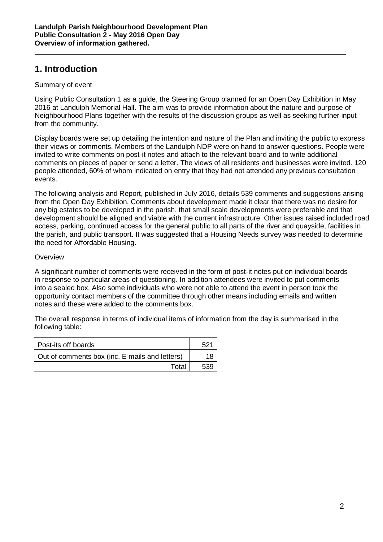## <span id="page-2-0"></span>**1. Introduction**

### <span id="page-2-1"></span>Summary of event

Using Public Consultation 1 as a guide, the Steering Group planned for an Open Day Exhibition in May 2016 at Landulph Memorial Hall. The aim was to provide information about the nature and purpose of Neighbourhood Plans together with the results of the discussion groups as well as seeking further input from the community.

Display boards were set up detailing the intention and nature of the Plan and inviting the public to express their views or comments. Members of the Landulph NDP were on hand to answer questions. People were invited to write comments on post-it notes and attach to the relevant board and to write additional comments on pieces of paper or send a letter. The views of all residents and businesses were invited. 120 people attended, 60% of whom indicated on entry that they had not attended any previous consultation events.

The following analysis and Report, published in July 2016, details 539 comments and suggestions arising from the Open Day Exhibition. Comments about development made it clear that there was no desire for any big estates to be developed in the parish, that small scale developments were preferable and that development should be aligned and viable with the current infrastructure. Other issues raised included road access, parking, continued access for the general public to all parts of the river and quayside, facilities in the parish, and public transport. It was suggested that a Housing Needs survey was needed to determine the need for Affordable Housing.

### **Overview**

A significant number of comments were received in the form of post-it notes put on individual boards in response to particular areas of questioning. In addition attendees were invited to put comments into a sealed box. Also some individuals who were not able to attend the event in person took the opportunity contact members of the committee through other means including emails and written notes and these were added to the comments box.

The overall response in terms of individual items of information from the day is summarised in the following table:

| l Post-its off boards                          |  |
|------------------------------------------------|--|
| Out of comments box (inc. E mails and letters) |  |
| Total                                          |  |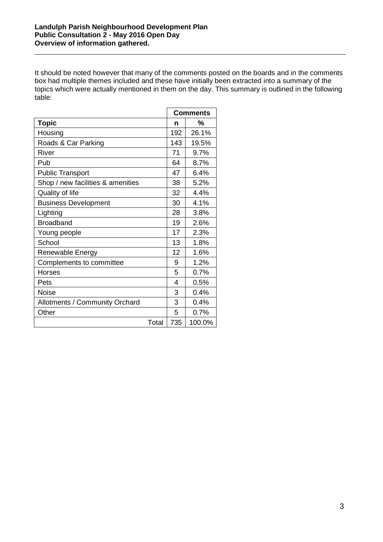It should be noted however that many of the comments posted on the boards and in the comments box had multiple themes included and these have initially been extracted into a summary of the topics which were actually mentioned in them on the day. This summary is outlined in the following table:

|                                   |     | <b>Comments</b> |
|-----------------------------------|-----|-----------------|
| <b>Topic</b>                      | n   | %               |
| Housing                           | 192 | 26.1%           |
| Roads & Car Parking               | 143 | 19.5%           |
| River                             | 71  | 9.7%            |
| Pub                               | 64  | 8.7%            |
| <b>Public Transport</b>           | 47  | 6.4%            |
| Shop / new facilities & amenities | 38  | 5.2%            |
| Quality of life                   | 32  | 4.4%            |
| <b>Business Development</b>       | 30  | 4.1%            |
| Lighting                          | 28  | 3.8%            |
| <b>Broadband</b>                  | 19  | 2.6%            |
| Young people                      | 17  | 2.3%            |
| School                            | 13  | 1.8%            |
| Renewable Energy                  | 12  | 1.6%            |
| Complements to committee          | 9   | 1.2%            |
| <b>Horses</b>                     | 5   | 0.7%            |
| Pets                              | 4   | 0.5%            |
| <b>Noise</b>                      | 3   | 0.4%            |
| Allotments / Community Orchard    | 3   | 0.4%            |
| Other                             | 5   | 0.7%            |
| Total                             | 735 | 100.0%          |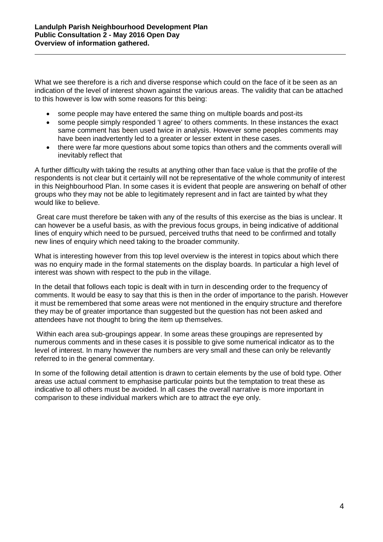What we see therefore is a rich and diverse response which could on the face of it be seen as an indication of the level of interest shown against the various areas. The validity that can be attached to this however is low with some reasons for this being:

- some people may have entered the same thing on multiple boards and post-its
- some people simply responded 'I agree' to others comments. In these instances the exact same comment has been used twice in analysis. However some peoples comments may have been inadvertently led to a greater or lesser extent in these cases.
- there were far more questions about some topics than others and the comments overall will inevitably reflect that

A further difficulty with taking the results at anything other than face value is that the profile of the respondents is not clear but it certainly will not be representative of the whole community of interest in this Neighbourhood Plan. In some cases it is evident that people are answering on behalf of other groups who they may not be able to legitimately represent and in fact are tainted by what they would like to believe.

Great care must therefore be taken with any of the results of this exercise as the bias is unclear. It can however be a useful basis, as with the previous focus groups, in being indicative of additional lines of enquiry which need to be pursued, perceived truths that need to be confirmed and totally new lines of enquiry which need taking to the broader community.

What is interesting however from this top level overview is the interest in topics about which there was no enquiry made in the formal statements on the display boards. In particular a high level of interest was shown with respect to the pub in the village.

In the detail that follows each topic is dealt with in turn in descending order to the frequency of comments. It would be easy to say that this is then in the order of importance to the parish. However it must be remembered that some areas were not mentioned in the enquiry structure and therefore they may be of greater importance than suggested but the question has not been asked and attendees have not thought to bring the item up themselves.

Within each area sub-groupings appear. In some areas these groupings are represented by numerous comments and in these cases it is possible to give some numerical indicator as to the level of interest. In many however the numbers are very small and these can only be relevantly referred to in the general commentary.

In some of the following detail attention is drawn to certain elements by the use of bold type. Other areas use actual comment to emphasise particular points but the temptation to treat these as indicative to all others must be avoided. In all cases the overall narrative is more important in comparison to these individual markers which are to attract the eye only.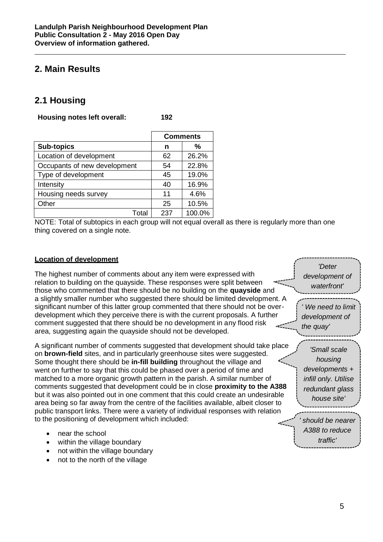# <span id="page-5-0"></span>**2. Main Results**

# <span id="page-5-1"></span>**2.1 Housing**

**Housing notes left overall: 192**

|                              | <b>Comments</b> |        |
|------------------------------|-----------------|--------|
| <b>Sub-topics</b>            | n               | %      |
| Location of development      | 62              | 26.2%  |
| Occupants of new development | 54              | 22.8%  |
| Type of development          | 45              | 19.0%  |
| Intensity                    | 40              | 16.9%  |
| Housing needs survey         | 11              | 4.6%   |
| Other                        | 25              | 10.5%  |
| Total                        | 237             | 100.0% |

NOTE: Total of subtopics in each group will not equal overall as there is regularly more than one thing covered on a single note.

#### **Location of development**

The highest number of comments about any item were expressed with relation to building on the quayside. These responses were split between those who commented that there should be no building on the **quayside** and a slightly smaller number who suggested there should be limited development. A significant number of this latter group commented that there should not be overdevelopment which they perceive there is with the current proposals. A further comment suggested that there should be no development in any flood risk area, suggesting again the quayside should not be developed.

A significant number of comments suggested that development should take place on **brown-field** sites, and in particularly greenhouse sites were suggested. Some thought there should be **in-fill building** throughout the village and went on further to say that this could be phased over a period of time and matched to a more organic growth pattern in the parish. A similar number of comments suggested that development could be in close **proximity to the A388**  but it was also pointed out in one comment that this could create an undesirable area being so far away from the centre of the facilities available, albeit closer to public transport links. There were a variety of individual responses with relation to the positioning of development which included:

- near the school
- within the village boundary
- not within the village boundary
- not to the north of the village

*' should be nearer A388 to reduce traffic'*

*'Deter development of waterfront'*

 *We need to limit development of* 

*'Small scale housing developments + infill only. Utilise redundant glass house site'*

*the quay'*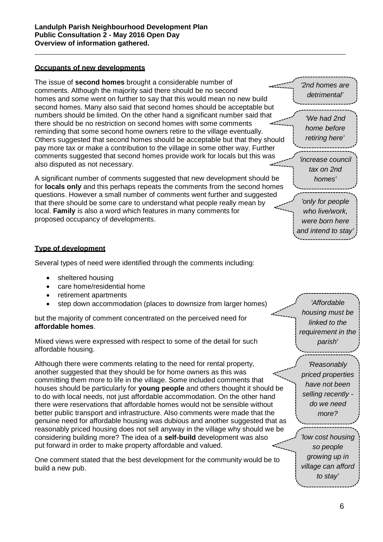### **Occupants of new developments**

The issue of **second homes** brought a considerable number of comments. Although the majority said there should be no second homes and some went on further to say that this would mean no new build second homes. Many also said that second homes should be acceptable but numbers should be limited. On the other hand a significant number said that there should be no restriction on second homes with some comments reminding that some second home owners retire to the village eventually. Others suggested that second homes should be acceptable but that they should pay more tax or make a contribution to the village in some other way. Further comments suggested that second homes provide work for locals but this was also disputed as not necessary.

A significant number of comments suggested that new development should be for **locals only** and this perhaps repeats the comments from the second homes questions. However a small number of comments went further and suggested that there should be some care to understand what people really mean by local. **Family** is also a word which features in many comments for proposed occupancy of developments.

#### **Type of development**

Several types of need were identified through the comments including:

- sheltered housing
- care home/residential home
- retirement apartments
- step down accommodation (places to downsize from larger homes)

but the majority of comment concentrated on the perceived need for **affordable homes**.

Mixed views were expressed with respect to some of the detail for such affordable housing.

Although there were comments relating to the need for rental property, another suggested that they should be for home owners as this was committing them more to life in the village. Some included comments that houses should be particularly for **young people** and others thought it should be to do with local needs, not just affordable accommodation. On the other hand there were reservations that affordable homes would not be sensible without better public transport and infrastructure. Also comments were made that the genuine need for affordable housing was dubious and another suggested that as reasonably priced housing does not sell anyway in the village why should we be considering building more? The idea of a **self-build** development was also put forward in order to make property affordable and valued.

One comment stated that the best development for the community would be to build a new pub.

*'Affordable housing must be linked to the requirement in the parish'*

*'2nd homes are detrimental'*

*'We had 2nd home before retiring here'*

*'increase council tax on 2nd homes'*

*'only for people who live/work, were born here and intend to stay'*

*'Reasonably priced properties have not been selling recently do we need more?*

*'low cost housing so people growing up in village can afford to stay'*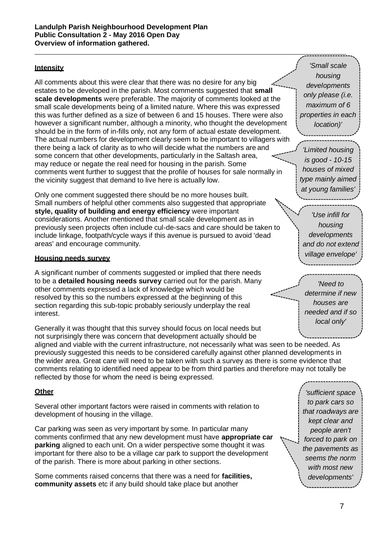### **Intensity**

All comments about this were clear that there was no desire for any big estates to be developed in the parish. Most comments suggested that **small scale developments** were preferable. The majority of comments looked at the small scale developments being of a limited nature. Where this was expressed this was further defined as a size of between 6 and 15 houses. There were also however a significant number, although a minority, who thought the development should be in the form of in-fills only, not any form of actual estate development. The actual numbers for development clearly seem to be important to villagers with there being a lack of clarity as to who will decide what the numbers are and some concern that other developments, particularly in the Saltash area, may reduce or negate the real need for housing in the parish. Some comments went further to suggest that the profile of houses for sale normally in the vicinity suggest that demand to live here is actually low.

Only one comment suggested there should be no more houses built. Small numbers of helpful other comments also suggested that appropriate **style, quality of building and energy efficiency** were important considerations. Another mentioned that small scale development as in previously seen projects often include cul-de-sacs and care should be taken to include linkage, footpath/cycle ways if this avenue is pursued to avoid 'dead areas' and encourage community.

#### **Housing needs survey**

A significant number of comments suggested or implied that there needs to be a **detailed housing needs survey** carried out for the parish. Many other comments expressed a lack of knowledge which would be resolved by this so the numbers expressed at the beginning of this section regarding this sub-topic probably seriously underplay the real interest.

Generally it was thought that this survey should focus on local needs but not surprisingly there was concern that development actually should be aligned and viable with the current infrastructure, not necessarily what was seen to be needed. As previously suggested this needs to be considered carefully against other planned developments in the wider area. Great care will need to be taken with such a survey as there is some evidence that comments relating to identified need appear to be from third parties and therefore may not totally be reflected by those for whom the need is being expressed.

### **Other**

Several other important factors were raised in comments with relation to development of housing in the village.

Car parking was seen as very important by some. In particular many comments confirmed that any new development must have **appropriate car parking** aligned to each unit. On a wider perspective some thought it was important for there also to be a village car park to support the development of the parish. There is more about parking in other sections.

Some comments raised concerns that there was a need for **facilities, community assets** etc if any build should take place but another

*'Small scale housing developments only please (i.e. maximum of 6 properties in each location)'*

*'Limited housing is good - 10-15 houses of mixed type mainly aimed at young families'*

*'Use infill for housing developments and do not extend village envelope'*

*'Need to determine if new houses are needed and if so local only'*

*'sufficient space to park cars so that roadways are kept clear and people aren't forced to park on the pavements as seems the norm with most new developments'*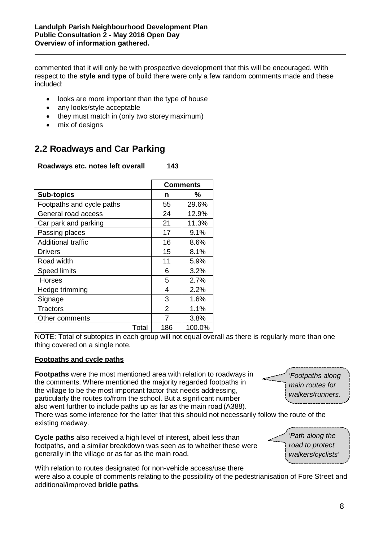commented that it will only be with prospective development that this will be encouraged. With respect to the **style and type** of build there were only a few random comments made and these included:

- looks are more important than the type of house
- any looks/style acceptable
- they must match in (only two storey maximum)
- mix of designs

# <span id="page-8-0"></span>**2.2 Roadways and Car Parking**

**Roadways etc. notes left overall 143**

|                           |       | <b>Comments</b> |        |
|---------------------------|-------|-----------------|--------|
| <b>Sub-topics</b>         |       | n               | %      |
| Footpaths and cycle paths |       | 55              | 29.6%  |
| General road access       |       | 24              | 12.9%  |
| Car park and parking      |       | 21              | 11.3%  |
| Passing places            |       | 17              | 9.1%   |
| <b>Additional traffic</b> |       | 16              | 8.6%   |
| Drivers                   |       | 15              | 8.1%   |
| Road width                |       | 11              | 5.9%   |
| <b>Speed limits</b>       |       | 6               | 3.2%   |
| Horses                    |       | 5               | 2.7%   |
| Hedge trimming            |       | 4               | 2.2%   |
| Signage                   |       | 3               | 1.6%   |
| Tractors                  |       | 2               | 1.1%   |
| Other comments            |       | 7               | 3.8%   |
|                           | Total | 186             | 100.0% |

NOTE: Total of subtopics in each group will not equal overall as there is regularly more than one thing covered on a single note.

### **Footpaths and cycle paths**

**Footpaths** were the most mentioned area with relation to roadways in the comments. Where mentioned the majority regarded footpaths in the village to be the most important factor that needs addressing, particularly the routes to/from the school. But a significant number also went further to include paths up as far as the main road (A388).

There was some inference for the latter that this should not necessarily follow the route of the existing roadway.

**Cycle paths** also received a high level of interest, albeit less than footpaths, and a similar breakdown was seen as to whether these were generally in the village or as far as the main road.

With relation to routes designated for non-vehicle access/use there were also a couple of comments relating to the possibility of the pedestrianisation of Fore Street and additional/improved **bridle paths**.

*'Footpaths along main routes for walkers/runners.*

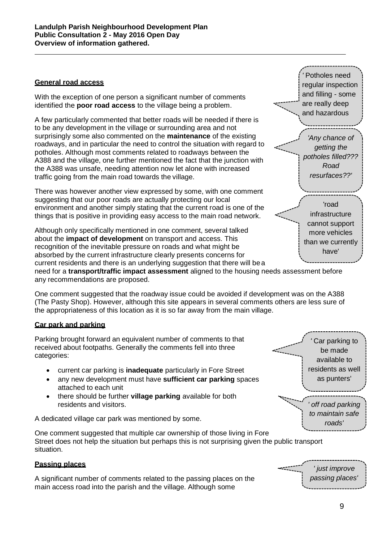### **General road access**

With the exception of one person a significant number of comments identified the **poor road access** to the village being a problem.

A few particularly commented that better roads will be needed if there is to be any development in the village or surrounding area and not surprisingly some also commented on the **maintenance** of the existing roadways, and in particular the need to control the situation with regard to potholes. Although most comments related to roadways between the A388 and the village, one further mentioned the fact that the junction with the A388 was unsafe, needing attention now let alone with increased traffic going from the main road towards the village.

There was however another view expressed by some, with one comment suggesting that our poor roads are actually protecting our local environment and another simply stating that the current road is one of the things that is positive in providing easy access to the main road network.

Although only specifically mentioned in one comment, several talked about the **impact of development** on transport and access. This recognition of the inevitable pressure on roads and what might be absorbed by the current infrastructure clearly presents concerns for current residents and there is an underlying suggestion that there will bea need for a **transport/traffic impact assessment** aligned to the housing needs assessment before any recommendations are proposed.

One comment suggested that the roadway issue could be avoided if development was on the A388 (The Pasty Shop). However, although this site appears in several comments others are less sure of the appropriateness of this location as it is so far away from the main village.

### **Car park and parking**

Parking brought forward an equivalent number of comments to that received about footpaths. Generally the comments fell into three categories:

- current car parking is **inadequate** particularly in Fore Street
- any new development must have **sufficient car parking** spaces attached to each unit
- there should be further **village parking** available for both residents and visitors.

A dedicated village car park was mentioned by some.

One comment suggested that multiple car ownership of those living in Fore Street does not help the situation but perhaps this is not surprising given the public transport situation.

### **Passing places**

A significant number of comments related to the passing places on the main access road into the parish and the village. Although some

*'* Potholes need regular inspection and filling - some are really deep and hazardous

*'Any chance of getting the potholes filled??? Road resurfaces??'*

'road infrastructure cannot support more vehicles than we currently have'

*'* Car parking to be made available to residents as well as punters'

*' off road parking to maintain safe roads'*

*' just improve passing places'*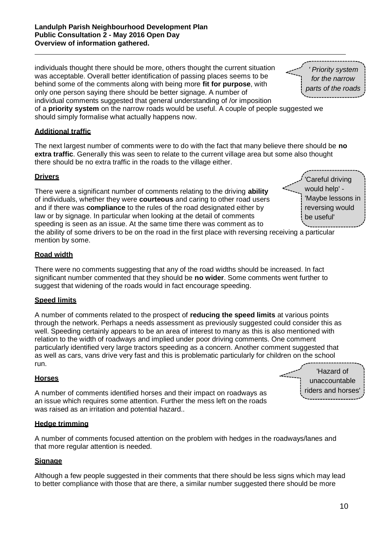individuals thought there should be more, others thought the current situation was acceptable. Overall better identification of passing places seems to be behind some of the comments along with being more **fit for purpose**, with only one person saying there should be better signage. A number of individual comments suggested that general understanding of /or imposition

of a **priority system** on the narrow roads would be useful. A couple of people suggested we should simply formalise what actually happens now.

### **Additional traffic**

The next largest number of comments were to do with the fact that many believe there should be **no extra traffic**. Generally this was seen to relate to the current village area but some also thought there should be no extra traffic in the roads to the village either.

### **Drivers**

There were a significant number of comments relating to the driving **ability**  of individuals, whether they were **courteous** and caring to other road users and if there was **compliance** to the rules of the road designated either by law or by signage. In particular when looking at the detail of comments speeding is seen as an issue. At the same time there was comment as to

'Careful driving would help' - 'Maybe lessons in reversing would be useful'

the ability of some drivers to be on the road in the first place with reversing receiving a particular mention by some.

### **Road width**

There were no comments suggesting that any of the road widths should be increased. In fact significant number commented that they should be **no wider**. Some comments went further to suggest that widening of the roads would in fact encourage speeding.

### **Speed limits**

A number of comments related to the prospect of **reducing the speed limits** at various points through the network. Perhaps a needs assessment as previously suggested could consider this as well. Speeding certainly appears to be an area of interest to many as this is also mentioned with relation to the width of roadways and implied under poor driving comments. One comment particularly identified very large tractors speeding as a concern. Another comment suggested that as well as cars, vans drive very fast and this is problematic particularly for children on the school run.

### **Horses**

A number of comments identified horses and their impact on roadways as an issue which requires some attention. Further the mess left on the roads was raised as an irritation and potential hazard..

### **Hedge trimming**

A number of comments focused attention on the problem with hedges in the roadways/lanes and that more regular attention is needed.

### **Signage**

Although a few people suggested in their comments that there should be less signs which may lead to better compliance with those that are there, a similar number suggested there should be more

'Hazard of unaccountable riders and horses'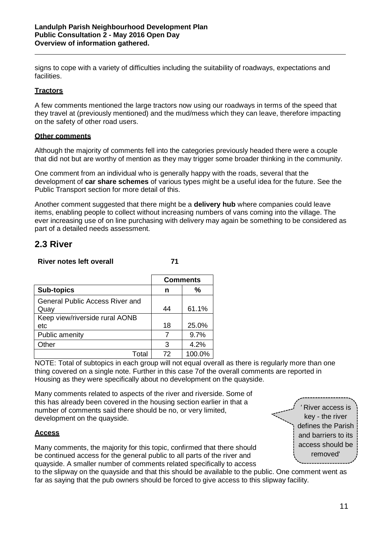signs to cope with a variety of difficulties including the suitability of roadways, expectations and facilities.

#### **Tractors**

A few comments mentioned the large tractors now using our roadways in terms of the speed that they travel at (previously mentioned) and the mud/mess which they can leave, therefore impacting on the safety of other road users.

### **Other comments**

Although the majority of comments fell into the categories previously headed there were a couple that did not but are worthy of mention as they may trigger some broader thinking in the community.

One comment from an individual who is generally happy with the roads, several that the development of **car share schemes** of various types might be a useful idea for the future. See the Public Transport section for more detail of this.

Another comment suggested that there might be a **delivery hub** where companies could leave items, enabling people to collect without increasing numbers of vans coming into the village. The ever increasing use of on line purchasing with delivery may again be something to be considered as part of a detailed needs assessment.

## <span id="page-11-0"></span>**2.3 River**

### **River notes left overall 71**

|                                 | <b>Comments</b> |        |
|---------------------------------|-----------------|--------|
| <b>Sub-topics</b>               | n               | %      |
| General Public Access River and |                 |        |
| Quay                            | 44              | 61.1%  |
| Keep view/riverside rural AONB  |                 |        |
| etc                             | 18              | 25.0%  |
| Public amenity                  |                 | 9.7%   |
| Other                           | 3               | 4.2%   |
| Total                           | 72              | 100.0% |

NOTE: Total of subtopics in each group will not equal overall as there is regularly more than one thing covered on a single note. Further in this case 7of the overall comments are reported in Housing as they were specifically about no development on the quayside.

Many comments related to aspects of the river and riverside. Some of this has already been covered in the housing section earlier in that a number of comments said there should be no, or very limited, development on the quayside.

### **Access**

Many comments, the majority for this topic, confirmed that there should be continued access for the general public to all parts of the river and quayside. A smaller number of comments related specifically to access

*'* River access is key - the river defines the Parish and barriers to its access should be removed'

to the slipway on the quayside and that this should be available to the public. One comment went as far as saying that the pub owners should be forced to give access to this slipway facility.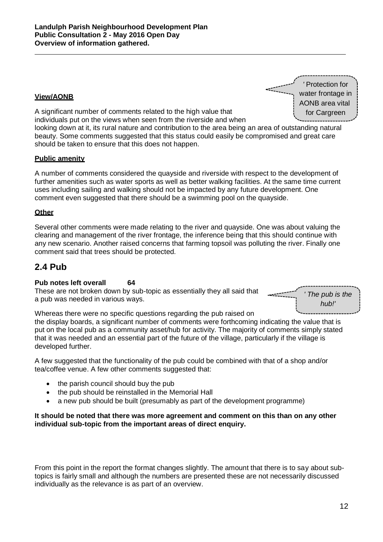### **View/AONB**

*'* Protection for water frontage in AONB area vital for Cargreen

A significant number of comments related to the high value that individuals put on the views when seen from the riverside and when

looking down at it, its rural nature and contribution to the area being an area of outstanding natural beauty. Some comments suggested that this status could easily be compromised and great care should be taken to ensure that this does not happen.

#### **Public amenity**

A number of comments considered the quayside and riverside with respect to the development of further amenities such as water sports as well as better walking facilities. At the same time current uses including sailing and walking should not be impacted by any future development. One comment even suggested that there should be a swimming pool on the quayside.

#### **Other**

Several other comments were made relating to the river and quayside. One was about valuing the clearing and management of the river frontage, the inference being that this should continue with any new scenario. Another raised concerns that farming topsoil was polluting the river. Finally one comment said that trees should be protected.

## <span id="page-12-0"></span>**2.4 Pub**

### **Pub notes left overall 64**

These are not broken down by sub-topic as essentially they all said that a pub was needed in various ways.

*' The pub is the hub!'*

Whereas there were no specific questions regarding the pub raised on

the display boards, a significant number of comments were forthcoming indicating the value that is put on the local pub as a community asset/hub for activity. The majority of comments simply stated that it was needed and an essential part of the future of the village, particularly if the village is developed further.

A few suggested that the functionality of the pub could be combined with that of a shop and/or tea/coffee venue. A few other comments suggested that:

- the parish council should buy the pub
- the pub should be reinstalled in the Memorial Hall
- a new pub should be built (presumably as part of the development programme)

#### **It should be noted that there was more agreement and comment on this than on any other individual sub-topic from the important areas of direct enquiry.**

From this point in the report the format changes slightly. The amount that there is to say about subtopics is fairly small and although the numbers are presented these are not necessarily discussed individually as the relevance is as part of an overview.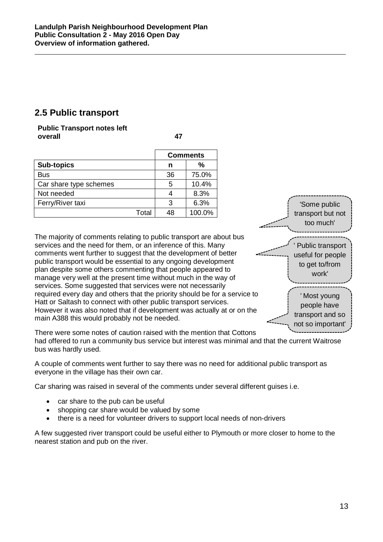# <span id="page-13-0"></span>**2.5 Public transport**

**Public Transport notes left overall 47**

|                        |       | <b>Comments</b> |        |  |
|------------------------|-------|-----------------|--------|--|
| <b>Sub-topics</b>      |       | n               | %      |  |
| <b>Bus</b>             |       | 36              | 75.0%  |  |
| Car share type schemes |       | 5               | 10.4%  |  |
| Not needed             |       |                 | 8.3%   |  |
| Ferry/River taxi       |       | 3               | 6.3%   |  |
|                        | Total | 48              | 100.0% |  |

The majority of comments relating to public transport are about bus services and the need for them, or an inference of this. Many comments went further to suggest that the development of better public transport would be essential to any ongoing development plan despite some others commenting that people appeared to manage very well at the present time without much in the way of services. Some suggested that services were not necessarily required every day and others that the priority should be for a service to Hatt or Saltash to connect with other public transport services. However it was also noted that if development was actually at or on the main A388 this would probably not be needed.



There were some notes of caution raised with the mention that Cottons

had offered to run a community bus service but interest was minimal and that the current Waitrose bus was hardly used.

A couple of comments went further to say there was no need for additional public transport as everyone in the village has their own car.

Car sharing was raised in several of the comments under several different guises i.e.

- car share to the pub can be useful
- shopping car share would be valued by some
- there is a need for volunteer drivers to support local needs of non-drivers

A few suggested river transport could be useful either to Plymouth or more closer to home to the nearest station and pub on the river.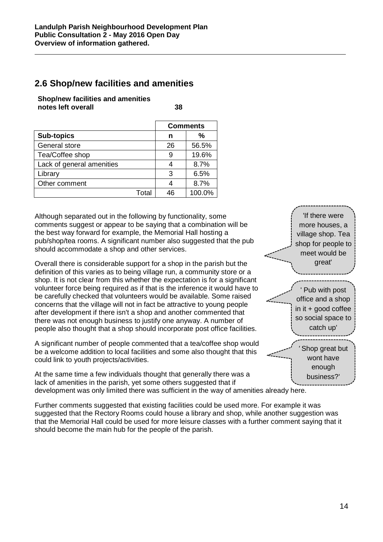# <span id="page-14-0"></span>**2.6 Shop/new facilities and amenities**

**Shop/new facilities and amenities notes left overall 38**

|                           |       | <b>Comments</b> |        |  |
|---------------------------|-------|-----------------|--------|--|
| <b>Sub-topics</b>         |       | n               | %      |  |
| General store             |       | 26              | 56.5%  |  |
| Tea/Coffee shop           |       | 9               | 19.6%  |  |
| Lack of general amenities |       |                 | 8.7%   |  |
| Library                   |       | 3               | 6.5%   |  |
| Other comment             |       |                 | 8.7%   |  |
|                           | Total | 46              | 100.0% |  |

Although separated out in the following by functionality, some comments suggest or appear to be saying that a combination will be the best way forward for example, the Memorial Hall hosting a pub/shop/tea rooms. A significant number also suggested that the pub should accommodate a shop and other services.

Overall there is considerable support for a shop in the parish but the definition of this varies as to being village run, a community store or a shop. It is not clear from this whether the expectation is for a significant volunteer force being required as if that is the inference it would have to be carefully checked that volunteers would be available. Some raised concerns that the village will not in fact be attractive to young people after development if there isn't a shop and another commented that there was not enough business to justify one anyway. A number of people also thought that a shop should incorporate post office facilities.

A significant number of people commented that a tea/coffee shop would be a welcome addition to local facilities and some also thought that this could link to youth projects/activities.

At the same time a few individuals thought that generally there was a lack of amenities in the parish, yet some others suggested that if development was only limited there was sufficient in the way of amenities already here.

Further comments suggested that existing facilities could be used more. For example it was suggested that the Rectory Rooms could house a library and shop, while another suggestion was that the Memorial Hall could be used for more leisure classes with a further comment saying that it should become the main hub for the people of the parish.

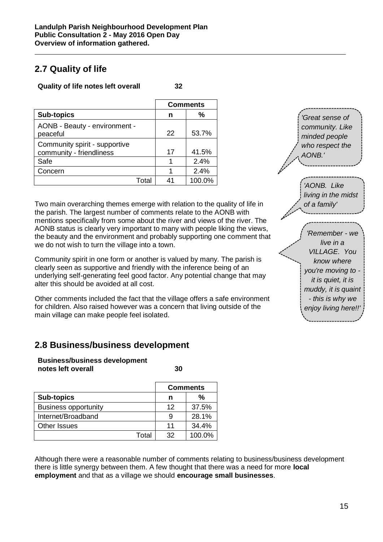# <span id="page-15-0"></span>**2.7 Quality of life**

### **Quality of life notes left overall 32**

|                                                           | <b>Comments</b> |        |
|-----------------------------------------------------------|-----------------|--------|
| <b>Sub-topics</b>                                         | n               | ℅      |
| AONB - Beauty - environment -<br>peaceful                 | 22              | 53.7%  |
| Community spirit - supportive<br>community - friendliness | 17              | 41.5%  |
| Safe                                                      |                 | 2.4%   |
| Concern                                                   |                 | 2.4%   |
| Total                                                     | Δ1              | 100.0% |

Two main overarching themes emerge with relation to the quality of life in the parish. The largest number of comments relate to the AONB with mentions specifically from some about the river and views of the river. The AONB status is clearly very important to many with people liking the views, the beauty and the environment and probably supporting one comment that we do not wish to turn the village into a town.

Community spirit in one form or another is valued by many. The parish is clearly seen as supportive and friendly with the inference being of an underlying self-generating feel good factor. Any potential change that may alter this should be avoided at all cost.

Other comments included the fact that the village offers a safe environment for children. Also raised however was a concern that living outside of the main village can make people feel isolated.

# <span id="page-15-1"></span>**2.8 Business/business development**

**Business/business development notes left overall 30**

|                             |       | <b>Comments</b> |        |  |
|-----------------------------|-------|-----------------|--------|--|
| <b>Sub-topics</b>           |       | n               | %      |  |
| <b>Business opportunity</b> |       | 12              | 37.5%  |  |
| Internet/Broadband          |       | 9               | 28.1%  |  |
| <b>Other Issues</b>         |       | 11              | 34.4%  |  |
|                             | Total | 32              | 100.0% |  |

Although there were a reasonable number of comments relating to business/business development there is little synergy between them. A few thought that there was a need for more **local employment** and that as a village we should **encourage small businesses**.

*'Great sense of community. Like minded people who respect the AONB.'*

*'AONB. Like living in the midst of a family'*

*'Remember - we live in a VILLAGE. You know where you're moving to it is quiet, it is muddy, it is quaint - this is why we enjoy living here!!'*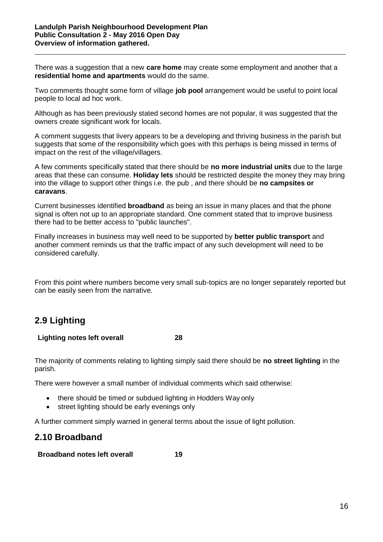There was a suggestion that a new **care home** may create some employment and another that a **residential home and apartments** would do the same.

Two comments thought some form of village **job pool** arrangement would be useful to point local people to local ad hoc work.

Although as has been previously stated second homes are not popular, it was suggested that the owners create significant work for locals.

A comment suggests that livery appears to be a developing and thriving business in the parish but suggests that some of the responsibility which goes with this perhaps is being missed in terms of impact on the rest of the village/villagers.

A few comments specifically stated that there should be **no more industrial units** due to the large areas that these can consume. **Holiday lets** should be restricted despite the money they may bring into the village to support other things i.e. the pub , and there should be **no campsites or caravans**.

Current businesses identified **broadband** as being an issue in many places and that the phone signal is often not up to an appropriate standard. One comment stated that to improve business there had to be better access to "public launches".

Finally increases in business may well need to be supported by **better public transport** and another comment reminds us that the traffic impact of any such development will need to be considered carefully.

From this point where numbers become very small sub-topics are no longer separately reported but can be easily seen from the narrative.

# <span id="page-16-0"></span>**2.9 Lighting**

### **Lighting notes left overall 28**

The majority of comments relating to lighting simply said there should be **no street lighting** in the parish.

There were however a small number of individual comments which said otherwise:

- there should be timed or subdued lighting in Hodders Way only
- street lighting should be early evenings only

<span id="page-16-1"></span>A further comment simply warned in general terms about the issue of light pollution.

## **2.10 Broadband**

### **Broadband notes left overall 19**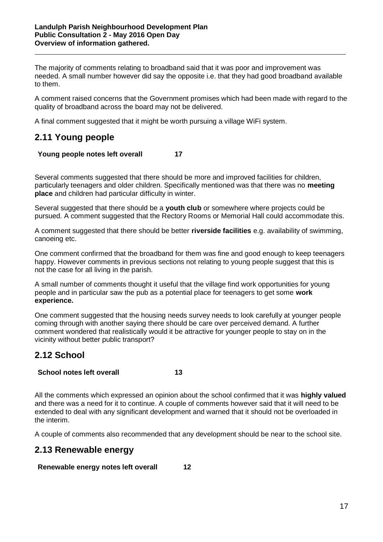The majority of comments relating to broadband said that it was poor and improvement was needed. A small number however did say the opposite i.e. that they had good broadband available to them.

A comment raised concerns that the Government promises which had been made with regard to the quality of broadband across the board may not be delivered.

A final comment suggested that it might be worth pursuing a village WiFi system.

# <span id="page-17-0"></span>**2.11 Young people**

### **Young people notes left overall 17**

Several comments suggested that there should be more and improved facilities for children, particularly teenagers and older children. Specifically mentioned was that there was no **meeting place** and children had particular difficulty in winter.

Several suggested that there should be a **youth club** or somewhere where projects could be pursued. A comment suggested that the Rectory Rooms or Memorial Hall could accommodate this.

A comment suggested that there should be better **riverside facilities** e.g. availability of swimming, canoeing etc.

One comment confirmed that the broadband for them was fine and good enough to keep teenagers happy. However comments in previous sections not relating to young people suggest that this is not the case for all living in the parish.

A small number of comments thought it useful that the village find work opportunities for young people and in particular saw the pub as a potential place for teenagers to get some **work experience.**

One comment suggested that the housing needs survey needs to look carefully at younger people coming through with another saying there should be care over perceived demand. A further comment wondered that realistically would it be attractive for younger people to stay on in the vicinity without better public transport?

# <span id="page-17-1"></span>**2.12 School**

### **School notes left overall 13**

All the comments which expressed an opinion about the school confirmed that it was **highly valued**  and there was a need for it to continue. A couple of comments however said that it will need to be extended to deal with any significant development and warned that it should not be overloaded in the interim.

A couple of comments also recommended that any development should be near to the school site.

## <span id="page-17-2"></span>**2.13 Renewable energy**

**Renewable energy notes left overall 12**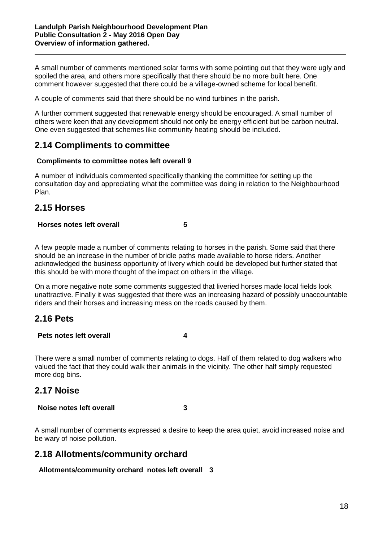A small number of comments mentioned solar farms with some pointing out that they were ugly and spoiled the area, and others more specifically that there should be no more built here. One comment however suggested that there could be a village-owned scheme for local benefit.

A couple of comments said that there should be no wind turbines in the parish.

A further comment suggested that renewable energy should be encouraged. A small number of others were keen that any development should not only be energy efficient but be carbon neutral. One even suggested that schemes like community heating should be included.

## <span id="page-18-0"></span>**2.14 Compliments to committee**

### **Compliments to committee notes left overall 9**

A number of individuals commented specifically thanking the committee for setting up the consultation day and appreciating what the committee was doing in relation to the Neighbourhood Plan.

## <span id="page-18-1"></span>**2.15 Horses**

### **Horses notes left overall 5**

A few people made a number of comments relating to horses in the parish. Some said that there should be an increase in the number of bridle paths made available to horse riders. Another acknowledged the business opportunity of livery which could be developed but further stated that this should be with more thought of the impact on others in the village.

On a more negative note some comments suggested that liveried horses made local fields look unattractive. Finally it was suggested that there was an increasing hazard of possibly unaccountable riders and their horses and increasing mess on the roads caused by them.

## <span id="page-18-2"></span>**2.16 Pets**

#### **Pets notes left overall 4**

There were a small number of comments relating to dogs. Half of them related to dog walkers who valued the fact that they could walk their animals in the vicinity. The other half simply requested more dog bins.

## <span id="page-18-3"></span>**2.17 Noise**

### **Noise notes left overall 3**

A small number of comments expressed a desire to keep the area quiet, avoid increased noise and be wary of noise pollution.

## <span id="page-18-4"></span>**2.18 Allotments/community orchard**

**Allotments/community orchard notes left overall 3**